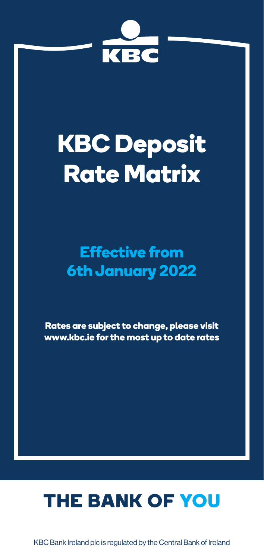

# **KBC Deposit Rate Matrix**

## **Effective from 6th January 2022**

**Rates are subject to change, please visit www.kbc.ie for the most up to date rates**

## THE BANK OF YOU

KBC Bank Ireland plc is regulated by the Central Bank of Ireland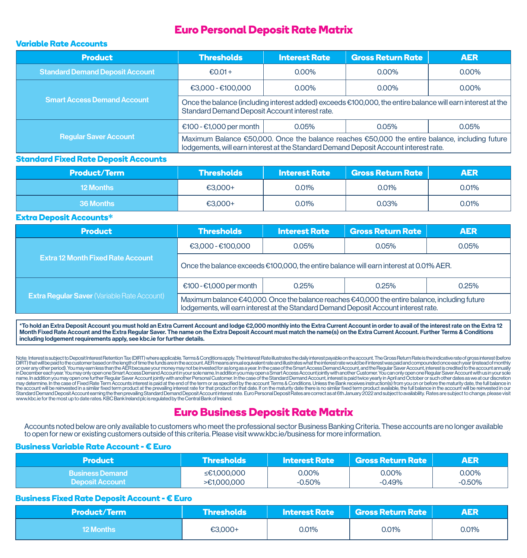## **Euro Personal Deposit Rate Matrix**

## **Variable Rate Accounts**

| <b>Product</b>                         | <b>Thresholds</b>                                                                                                                                                                                          | <b>Interest Rate</b> | <b>Gross Return Rate</b> | <b>AER</b> |
|----------------------------------------|------------------------------------------------------------------------------------------------------------------------------------------------------------------------------------------------------------|----------------------|--------------------------|------------|
| <b>Standard Demand Deposit Account</b> | €0.01+                                                                                                                                                                                                     | $0.00\%$             | 0.00%                    | $0.00\%$   |
|                                        | $E3.000 - E100.000$                                                                                                                                                                                        | $0.00\%$             | $0.00\%$                 | $0.00\%$   |
| <b>Smart Access Demand Account</b>     | Once the balance (including interest added) exceeds €100,000, the entire balance will earn interest at the<br>Standard Demand Deposit Account interest rate.                                               |                      |                          |            |
|                                        | €100 - €1,000 per month<br>0.05%<br>0.05%                                                                                                                                                                  |                      |                          | 0.05%      |
| <b>Regular Saver Account</b>           | Maximum Balance $\epsilon$ 50,000. Once the balance reaches $\epsilon$ 50,000 the entire balance, including future<br>lodgements, will earn interest at the Standard Demand Deposit Account interest rate. |                      |                          |            |

#### **Standard Fixed Rate Deposit Accounts**

| <b>Product/Term</b> | l Thresholds <b>I</b> | <b>Interest Rate</b> | $\mid$ Gross Return Rate $\mid$ | <b>AER</b> |
|---------------------|-----------------------|----------------------|---------------------------------|------------|
| <b>12 Months</b>    | $€3.000+$             | 0.01%                | $0.01\%$                        | 0.01%      |
| 36 Months           | €3,000+               | 0.01%                | 0.03%                           | 0.01%      |

#### **Extra Deposit Accounts\***

| <b>Product</b>                                     | <b>Thresholds</b>                                                                                                                                                                      | <b>Interest Rate</b> | <b>Gross Return Rate</b> | <b>AER</b> |
|----------------------------------------------------|----------------------------------------------------------------------------------------------------------------------------------------------------------------------------------------|----------------------|--------------------------|------------|
|                                                    | €3,000 - €100,000                                                                                                                                                                      | 0.05%                | 0.05%                    | 0.05%      |
| <b>Extra 12 Month Fixed Rate Account</b>           | Once the balance exceeds $\epsilon$ 100,000, the entire balance will earn interest at 0.01% AER.                                                                                       |                      |                          |            |
|                                                    | €100 - €1,000 per month                                                                                                                                                                | 0.25%                | 0.25%                    | 0.25%      |
| <b>Extra Regular Saver (Variable Rate Account)</b> | Maximum balance €40,000. Once the balance reaches €40,000 the entire balance, including future<br>lodgements, will earn interest at the Standard Demand Deposit Account interest rate. |                      |                          |            |

\*To hold an Extra Deposit Account you must hold an Extra Current Account and lodge €2,000 monthly into the Extra Current Account in order to avail of the interest rate on the Extra 12 Month Fixed Rate Account and the Extra Regular Saver. The name on the Extra Deposit Account must match the name(s) on the Extra Current Account. Further Terms & Conditions including lodgement requirements apply, see kbc.ie for further details.

Note: Interest issubject to Deposit Interest Retention Tax (DIRT) where applicable. Terms & Conditions apply. The Interest Rate illustrates the daily interest payable on the account. The Gross Return Rate is the indicative or over any other period). You may earnless than the AER because your money may not be invested for as long as a year. In the case of the Smart Access Demand Account, and the Regular Saver Account, interest is credited to in Decembereach year. Youmay only open one Smart Access Demand Account in your sole name. In addition you may open a Smart Access Account jointly with another Customer. You can only open one Regular Saver Account with us i nay determine. In the case of Fixed Rate Term Accounts interest is paid at the end of the end of the term or as specified by the account Terms & Conditions. Unless the Bank receives instruction(s) from you on or before the the account will be reinvested in a similar fixed term product at the prevailing interest rate for that product on that date. If on the maturity date there is no similar fixed term product available, the full balance in th www.kbc.ie for the most up to date rates. KBC Bank Ireland plc is regulated by the Central Bank of Ireland.

## **Euro Business Deposit Rate Matrix**

Accounts noted below are only available to customers who meet the professional sector Business Banking Criteria. These accounts are no longer available to open for new or existing customers outside of this criteria. Please visit www.kbc.ie/business for more information.

### **Business Variable Rate Account - € Euro**

| 'Product               | \Thresholds \ | <b>M</b> nterest Rate | $\mid$ Gross Return Rate $\mid$ | <b>AER</b> |
|------------------------|---------------|-----------------------|---------------------------------|------------|
| <b>Business Demand</b> | ≤€1.000.000   | 0.00%                 | 0.00%                           | 0.00%      |
| <b>Deposit Account</b> | >€1.000.000   | $-0.50\%$             | -0.49%                          | -0.50%     |

#### **Business Fixed Rate Deposit Account - € Euro**

| <b>Product/Term</b> | Thresholds |       | $\mid$ Interest Rate $\mid$ Gross Return Rate $\mid$ | <b>AER</b> |
|---------------------|------------|-------|------------------------------------------------------|------------|
| <b>12 Months</b>    | €3.000+    | 0.01% | 0.01%                                                | 0.01%      |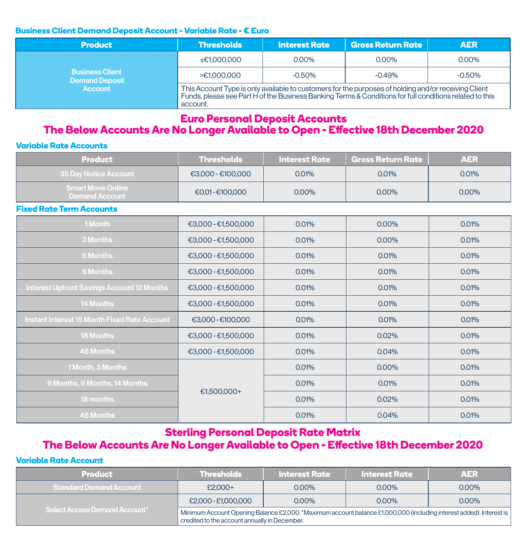## **Business Client Demand Deposit Account - Variable Rate - € Euro**

| <b>Product</b>                                  | <b>Thresholds</b>                                                                                                                                                                                                           | <b>Interest Rate</b> | <b>Gross Return Rate</b> | <b>AER</b> |
|-------------------------------------------------|-----------------------------------------------------------------------------------------------------------------------------------------------------------------------------------------------------------------------------|----------------------|--------------------------|------------|
| <b>Business Client</b><br><b>Demand Deposit</b> | ≤€1,000,000                                                                                                                                                                                                                 | 0.00%                | 0.00%                    | $0.00\%$   |
|                                                 | >€1.000.000                                                                                                                                                                                                                 | $-0.50\%$            | $-0.49%$                 | $-0.50%$   |
| <b>Account</b>                                  | This Account Type is only available to customers for the purposes of holding and/or receiving Client<br>Funds, please see Part H of the Business Banking Terms & Conditions for full conditions related to this<br>account. |                      |                          |            |

## **Euro Personal Deposit Accounts**

## **The Below Accounts Are No Longer Available to Open - Effective 18th December 2020**

## **Variable Rate Accounts**

| <b>Product</b>                                    | <b>Thresholds</b>   | <b>Interest Rate</b> | <b>Gross Return Rate</b> | <b>AER</b> |
|---------------------------------------------------|---------------------|----------------------|--------------------------|------------|
| 35 Day Notice Account                             | €3.000 - €100.000   | 0.01%                | 0.01%                    | 0.01%      |
| <b>Smart Move Online</b><br><b>Demand Account</b> | €0.01-€100,000      | 0.00%                | 0.00%                    | 0.00%      |
| <b>Fixed Rate Term Accounts</b>                   |                     |                      |                          |            |
| 1 Month                                           | €3,000 - €1,500,000 | 0.01%                | 0.00%                    | 0.01%      |
| 3 Months                                          | €3,000 - €1,500,000 | 0.01%                | 0.00%                    | 0.01%      |
| <b>6 Months</b>                                   | €3,000 - €1,500,000 | 0.01%                | 0.01%                    | 0.01%      |
| 9 Months                                          | €3,000 - €1,500,000 | 0.01%                | 0.01%                    | 0.01%      |
| <b>Interest Upfront Savings Account 12 Months</b> | €3,000 - €1,500,000 | 0.01%                | 0.01%                    | 0.01%      |
| <b>14 Months</b>                                  | €3,000 - €1,500,000 | 0.01%                | 0.01%                    | 0.01%      |
| Instant Interest 15 Month Fixed Rate Account      | €3.000-€100.000     | 0.01%                | 0.01%                    | 0.01%      |
| <b>18 Months</b>                                  | €3,000 - €1,500,000 | 0.01%                | 0.02%                    | 0.01%      |
| <b>48 Months</b>                                  | €3,000 - €1,500,000 | 0.01%                | 0.04%                    | 0.01%      |
| 1 Month, 3 Months                                 |                     | 0.01%                | 0.00%                    | 0.01%      |
| 6 Months, 9 Months, 14 Months                     | €1,500,000+         | 0.01%                | 0.01%                    | 0.01%      |
| 18 months                                         |                     | 0.01%                | 0.02%                    | 0.01%      |
| <b>48 Months</b>                                  |                     | 0.01%                | 0.04%                    | 0.01%      |

## **Sterling Personal Deposit Rate Matrix**

## **The Below Accounts Are No Longer Available to Open - Effective 18th December 2020**

## **Variable Rate Account**

| <b>Product</b>                       | <b>Thresholds</b>                                                                                                                                                    | <b>Interest Rate</b> | <b>Interest Rate</b> | <b>AER</b> |
|--------------------------------------|----------------------------------------------------------------------------------------------------------------------------------------------------------------------|----------------------|----------------------|------------|
| Standard Demand Account              | $£2.000+$                                                                                                                                                            | $0.00\%$             | $0.00\%$             | $0.00\%$   |
|                                      | £2,000 - £1,000,000                                                                                                                                                  | $0.00\%$             | $0.00\%$             | $0.00\%$   |
| <b>Select Access Demand Account*</b> | Minimum Account Opening Balance £2,000. *Maximum account balance £1,000,000 (including interest added). Interest is<br>credited to the account annually in December. |                      |                      |            |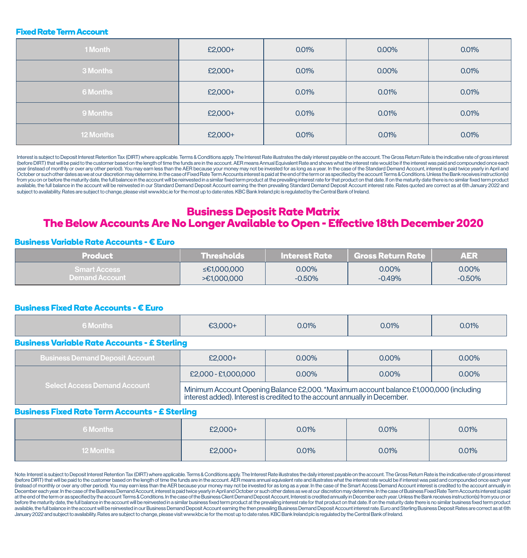#### **Fixed Rate Term Account**

| 1 Month          | £2,000+ | 0.01% | 0.00% | 0.01% |
|------------------|---------|-------|-------|-------|
| 3 Months         | £2,000+ | 0.01% | 0.00% | 0.01% |
| 6 Months         | £2,000+ | 0.01% | 0.01% | 0.01% |
| 9 Months         | £2,000+ | 0.01% | 0.01% | 0.01% |
| <b>12 Months</b> | £2,000+ | 0.01% | 0.01% | 0.01% |

Interest is subject to Deposit Interest Retention Tax (DIRT) where applicable. Terms & Conditions apply. The Interest Rate illustrates the daily interest payable on the account. The Gross Return Rate is the indicative rate (before DIRT) that will be paid to the customer based on the length of time the funds are in the account. AER means Annual Equivalent Rate and shows what the interest rate would be if the interest was paid and compounded o year (instead of monthly or over any other period). You may earn less than the AER because your money may not be invested for as long as a year. In the case of the Standard Demand Account, interest is paid twice yearly in October or such other dates as we at our discretion may determine. In the case of Fixed Rate Term Accounts interest is paid at the end of the term or as specified by the account Terms & Conditions. Unless the Bank receives from you on or before the maturity date, the full balance in the account will be reinvested in a similar fixed term product at the prevailing interest rate for that product on that date. If on the maturity date there is no available, the full balance in the account will be reinvested in our Standard Demand Deposit Account earning the then prevailing Standard Demand Deposit Account interest rate. Rates quoted are correct as at 6th January 202 subject to availability. Rates are subject to change, please visit www.kbc.ie for the most up to date rates. KBC Bank Ireland plc is regulated by the Central Bank of Ireland.

## **Business Deposit Rate Matrix The Below Accounts Are No Longer Available to Open - Effective 18th December 2020**

#### **Business Variable Rate Accounts - € Euro**

| <b>Product</b>        | <b>Thresholds</b> | <b>Interest Rate</b> | <b>Gross Return Rate</b> | <b>AER</b> |
|-----------------------|-------------------|----------------------|--------------------------|------------|
| <b>Smart Access</b> 1 | ≤€1,000,000       | $0.00\%$             | 0.00%                    | 0.00%      |
| <b>Demand Account</b> | >€1.000.000       | $-0.50%$             | $-0.49\%$                | $-0.50%$   |

### **Business Fixed Rate Accounts - € Euro**

| 6 Monthe<br>o ivioritris | $-3.000 +$ | 0.01% | 0.01% | 0.01% |
|--------------------------|------------|-------|-------|-------|
|                          |            |       |       |       |

#### **Business Variable Rate Accounts - £ Sterling**

| Business Demand Deposit Account     | £2,000+                                                                                                                                                              | 0.00% | $0.00\%$ | $0.00\%$ |  |
|-------------------------------------|----------------------------------------------------------------------------------------------------------------------------------------------------------------------|-------|----------|----------|--|
|                                     | £2,000 - £1,000,000                                                                                                                                                  | 0.00% | $0.00\%$ | $0.00\%$ |  |
| <b>Select Access Demand Account</b> | Minimum Account Opening Balance £2,000. *Maximum account balance £1,000,000 (including<br>interest added). Interest is credited to the account annually in December. |       |          |          |  |

#### **Business Fixed Rate Term Accounts - £ Sterling**

| 6 Months         | £2,000+ | 0.01% | 0.01% | 0.01% |
|------------------|---------|-------|-------|-------|
| <b>12 Months</b> | £2,000+ | 0.01% | 0.01% | 0.01% |

Note: Interest is subject to Deposit Interest Retention Tax (DIRT) where applicable. Terms & Conditions apply. The Interest Rate illustrates the daily interest awable on the account. The Gross Return Rate is the indicative (before DIRT) that will be paid to the customer based on the length of time the funds are in the account. AER means annual equivalent rate and illustrates what the interest rate would be if interest was paid and compounded (instead of monthly or over any other period). You may earn less than the AER because your money may not be invested for as long as a year. In the case of the Smart Access Demand Account interest is credited to the account December each year. In the case of the Business Demand Account, interest is paid twice yearly in April and October or such other dates as we at our discretion may determine. In the case of Business Fixed Rate Term Account at the end of the term or as specified by the account Terms & Conditions. In the case of the Business Client Demand Deposit Account, Interest is credited annually in December each year. Unless the Bank receives instruction before the maturity date the full halance in the account will be reinvested in a similar business fixed term product at the prevailing interest rate for that product on that date If on the maturity date then is ino similar available, the full balance in the account will be reinvested in our Business Demand Deposit Account earning the then prevailing Business Demand Deposit Account interest rate. Euro and Sterling Business Deposit Rates are c January 2022 and subject to availability. Rates are subject to change, please visit www.kbc.ie for the most up to date rates. KBC Bank Ireland plc is regulated by the Central Bank of Ireland.